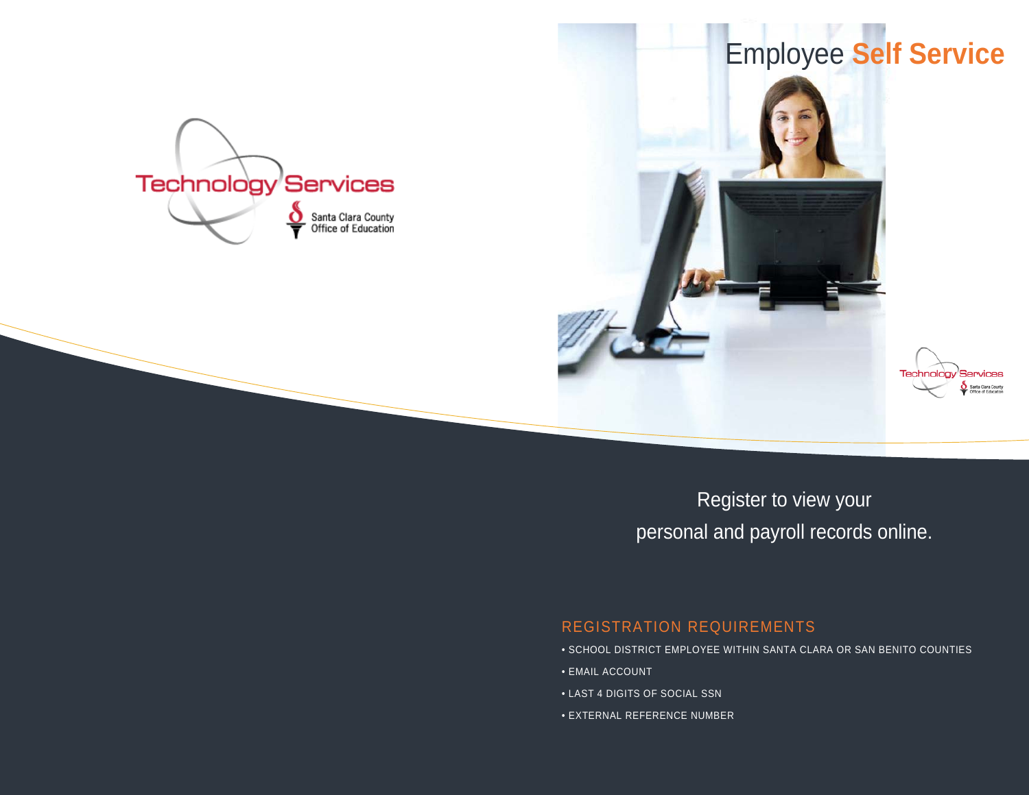

# Employee **Self Service**

**Technology Services** 

**Register to view your** personal and payroll records online.

*Patricia Doyle*

### REGISTRATION REQUIREMENTS

- SCHOOL DISTRICT EMPLOYEE WITHIN SANTA CLARA OR SAN BENITO COUNTIES
- EMAIL ACCOUNT
- LAST 4 DIGITS OF SOCIAL SSN
- EXTERNAL REFERENCE NUMBER